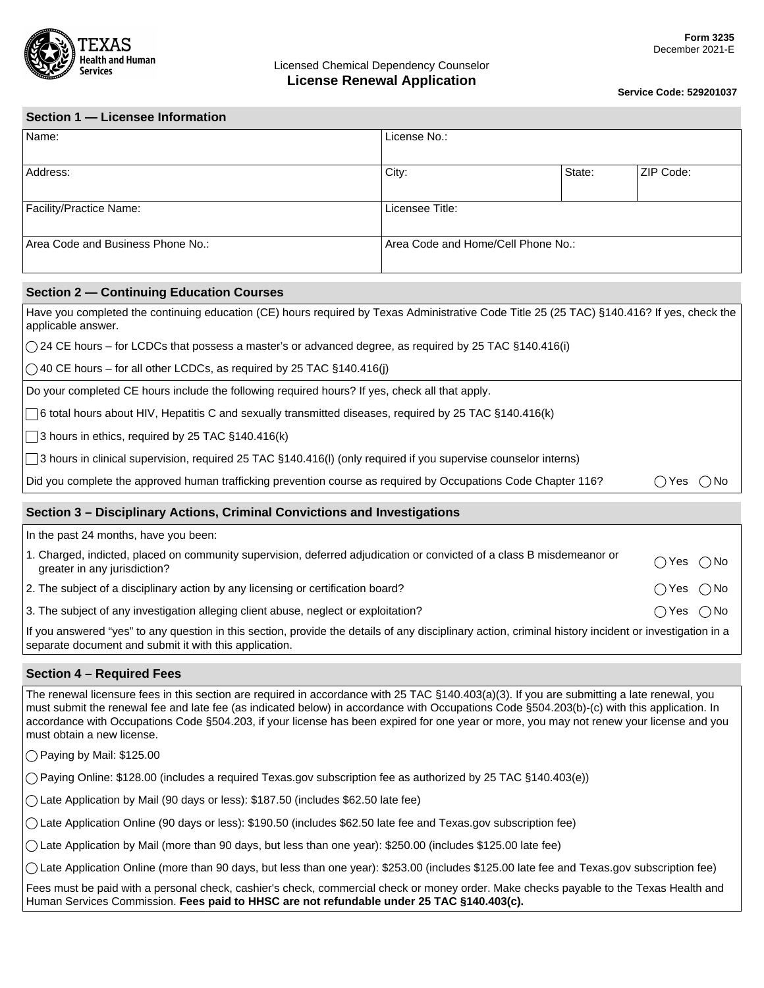

**Service Code: 529201037**

| Section 1 - Licensee Information  |                                    |        |           |  |  |
|-----------------------------------|------------------------------------|--------|-----------|--|--|
| Name:                             | License No.:                       |        |           |  |  |
| Address:                          | City:                              | State: | ZIP Code: |  |  |
| Facility/Practice Name:           | Licensee Title:                    |        |           |  |  |
| Area Code and Business Phone No.: | Area Code and Home/Cell Phone No.: |        |           |  |  |

#### **Section 2 — Continuing Education Courses**

| Have you completed the continuing education (CE) hours required by Texas Administrative Code Title 25 (25 TAC) §140.416? If yes, check the<br>applicable answer. |            |
|------------------------------------------------------------------------------------------------------------------------------------------------------------------|------------|
| $\bigcirc$ 24 CE hours – for LCDCs that possess a master's or advanced degree, as required by 25 TAC §140.416(i)                                                 |            |
| $\circ$ 40 CE hours – for all other LCDCs, as required by 25 TAC §140.416(j)                                                                                     |            |
| Do your completed CE hours include the following required hours? If yes, check all that apply.                                                                   |            |
| $\Box$ 6 total hours about HIV, Hepatitis C and sexually transmitted diseases, required by 25 TAC §140.416(k)                                                    |            |
| $\Box$ 3 hours in ethics, required by 25 TAC §140.416(k)                                                                                                         |            |
| 3 hours in clinical supervision, required 25 TAC §140.416(I) (only required if you supervise counselor interns)                                                  |            |
| Did you complete the approved human trafficking prevention course as required by Occupations Code Chapter 116?                                                   | ∩No<br>Yes |
| Castian 2. Disabeling to Astiana, Criminal Cantiations and Introductional                                                                                        |            |

## **Section 3 – Disciplinary Actions, Criminal Convictions and Investigations**

| In the past 24 months, have you been:                                                                                                                                                                            |                              |  |  |  |
|------------------------------------------------------------------------------------------------------------------------------------------------------------------------------------------------------------------|------------------------------|--|--|--|
| 1. Charged, indicted, placed on community supervision, deferred adjudication or convicted of a class B misdemeanor or<br>greater in any jurisdiction?                                                            | $\bigcirc$ Yes $\bigcirc$ No |  |  |  |
| 2. The subject of a disciplinary action by any licensing or certification board?                                                                                                                                 | $\bigcap$ Yes $\bigcap$ No   |  |  |  |
| 3. The subject of any investigation alleging client abuse, neglect or exploitation?                                                                                                                              | $\bigcap$ Yes $\bigcap$ No   |  |  |  |
| If you answered "yes" to any question in this section, provide the details of any disciplinary action, criminal history incident or investigation in a<br>separate document and submit it with this application. |                              |  |  |  |

#### **Section 4 – Required Fees**

The renewal licensure fees in this section are required in accordance with 25 TAC §140.403(a)(3). If you are submitting a late renewal, you must submit the renewal fee and late fee (as indicated below) in accordance with Occupations Code §504.203(b)-(c) with this application. In accordance with Occupations Code §504.203, if your license has been expired for one year or more, you may not renew your license and you must obtain a new license.

 $\bigcirc$  Paying by Mail: \$125.00

Paying Online: \$128.00 (includes a required Texas.gov subscription fee as authorized by 25 TAC §140.403(e))

Late Application by Mail (90 days or less): \$187.50 (includes \$62.50 late fee)

Late Application Online (90 days or less): \$190.50 (includes \$62.50 late fee and Texas.gov subscription fee)

Late Application by Mail (more than 90 days, but less than one year): \$250.00 (includes \$125.00 late fee)

Late Application Online (more than 90 days, but less than one year): \$253.00 (includes \$125.00 late fee and Texas.gov subscription fee)

Fees must be paid with a personal check, cashier's check, commercial check or money order. Make checks payable to the Texas Health and Human Services Commission. **Fees paid to HHSC are not refundable under 25 TAC §140.403(c).**